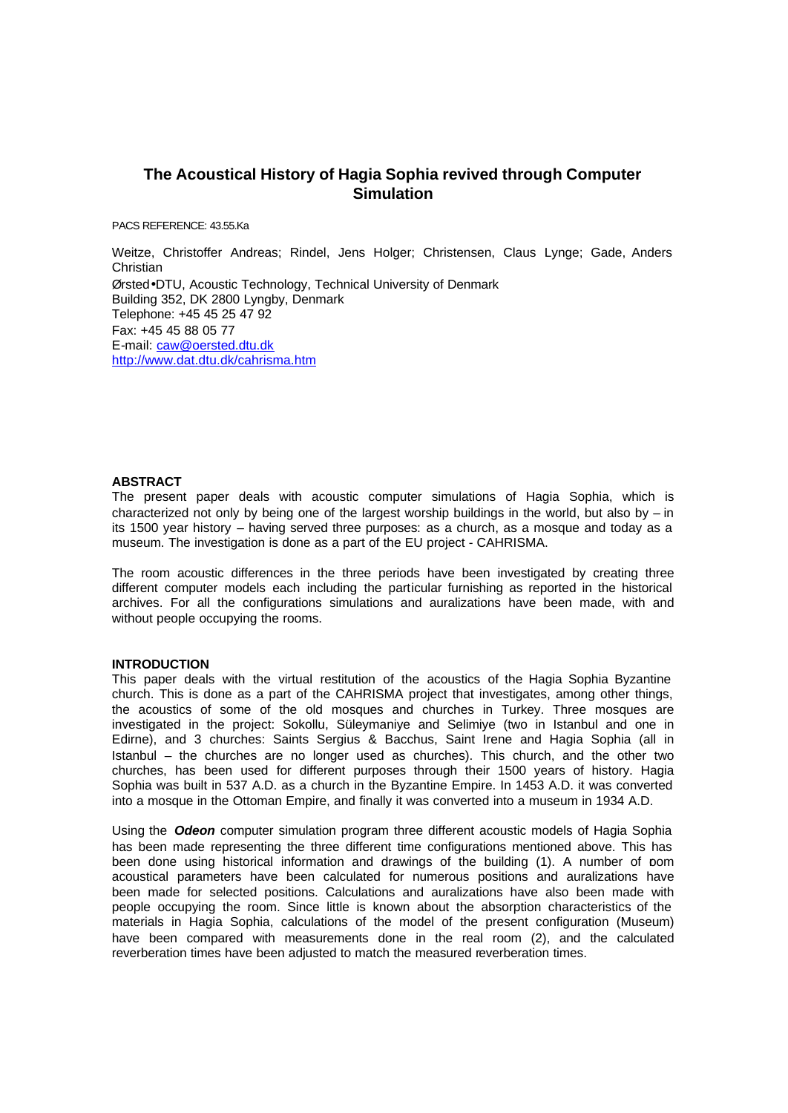# **The Acoustical History of Hagia Sophia revived through Computer Simulation**

PACS REFERENCE: 43.55.Ka

Weitze, Christoffer Andreas; Rindel, Jens Holger; Christensen, Claus Lynge; Gade, Anders **Christian** Ørsted•DTU, Acoustic Technology, Technical University of Denmark Building 352, DK 2800 Lyngby, Denmark Telephone: +45 45 25 47 92 Fax: +45 45 88 05 77 E-mail: caw@oersted.dtu.dk http://www.dat.dtu.dk/cahrisma.htm

#### **ABSTRACT**

The present paper deals with acoustic computer simulations of Hagia Sophia, which is characterized not only by being one of the largest worship buildings in the world, but also by  $-$  in its 1500 year history – having served three purposes: as a church, as a mosque and today as a museum. The investigation is done as a part of the EU project - CAHRISMA.

The room acoustic differences in the three periods have been investigated by creating three different computer models each including the particular furnishing as reported in the historical archives. For all the configurations simulations and auralizations have been made, with and without people occupying the rooms.

#### **INTRODUCTION**

This paper deals with the virtual restitution of the acoustics of the Hagia Sophia Byzantine church. This is done as a part of the CAHRISMA project that investigates, among other things, the acoustics of some of the old mosques and churches in Turkey. Three mosques are investigated in the project: Sokollu, Süleymaniye and Selimiye (two in Istanbul and one in Edirne), and 3 churches: Saints Sergius & Bacchus, Saint Irene and Hagia Sophia (all in Istanbul – the churches are no longer used as churches). This church, and the other two churches, has been used for different purposes through their 1500 years of history. Hagia Sophia was built in 537 A.D. as a church in the Byzantine Empire. In 1453 A.D. it was converted into a mosque in the Ottoman Empire, and finally it was converted into a museum in 1934 A.D.

Using the *Odeon* computer simulation program three different acoustic models of Hagia Sophia has been made representing the three different time configurations mentioned above. This has been done using historical information and drawings of the building (1). A number of pom acoustical parameters have been calculated for numerous positions and auralizations have been made for selected positions. Calculations and auralizations have also been made with people occupying the room. Since little is known about the absorption characteristics of the materials in Hagia Sophia, calculations of the model of the present configuration (Museum) have been compared with measurements done in the real room (2), and the calculated reverberation times have been adjusted to match the measured reverberation times.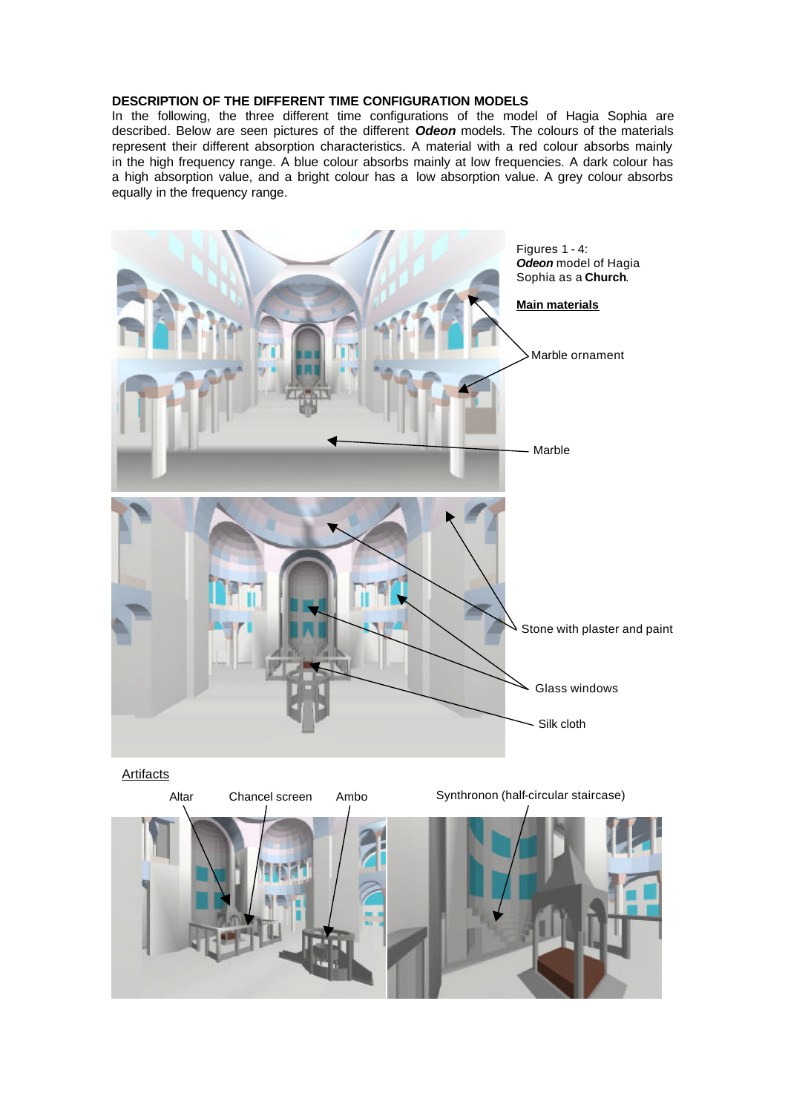## **DESCRIPTION OF THE DIFFERENT TIME CONFIGURATION MODELS**

In the following, the three different time configurations of the model of Hagia Sophia are described. Below are seen pictures of the different *Odeon* models. The colours of the materials represent their different absorption characteristics. A material with a red colour absorbs mainly in the high frequency range. A blue colour absorbs mainly at low frequencies. A dark colour has a high absorption value, and a bright colour has a low absorption value. A grey colour absorbs equally in the frequency range.



Artifacts

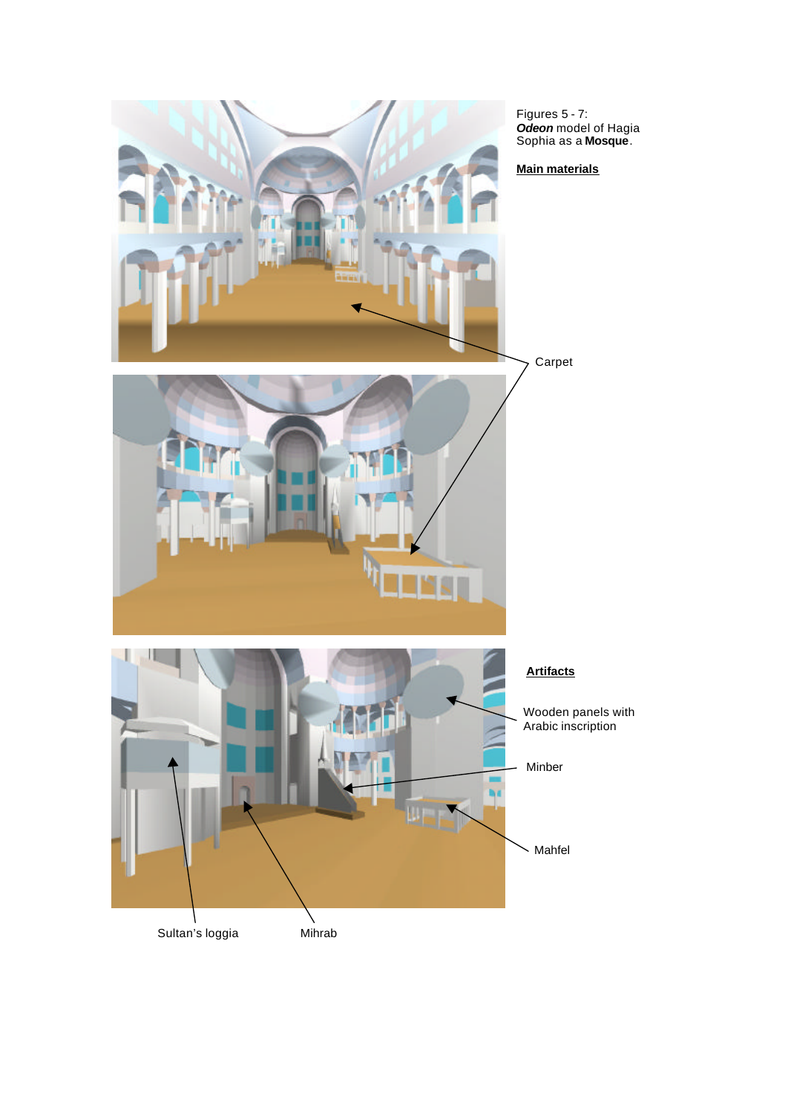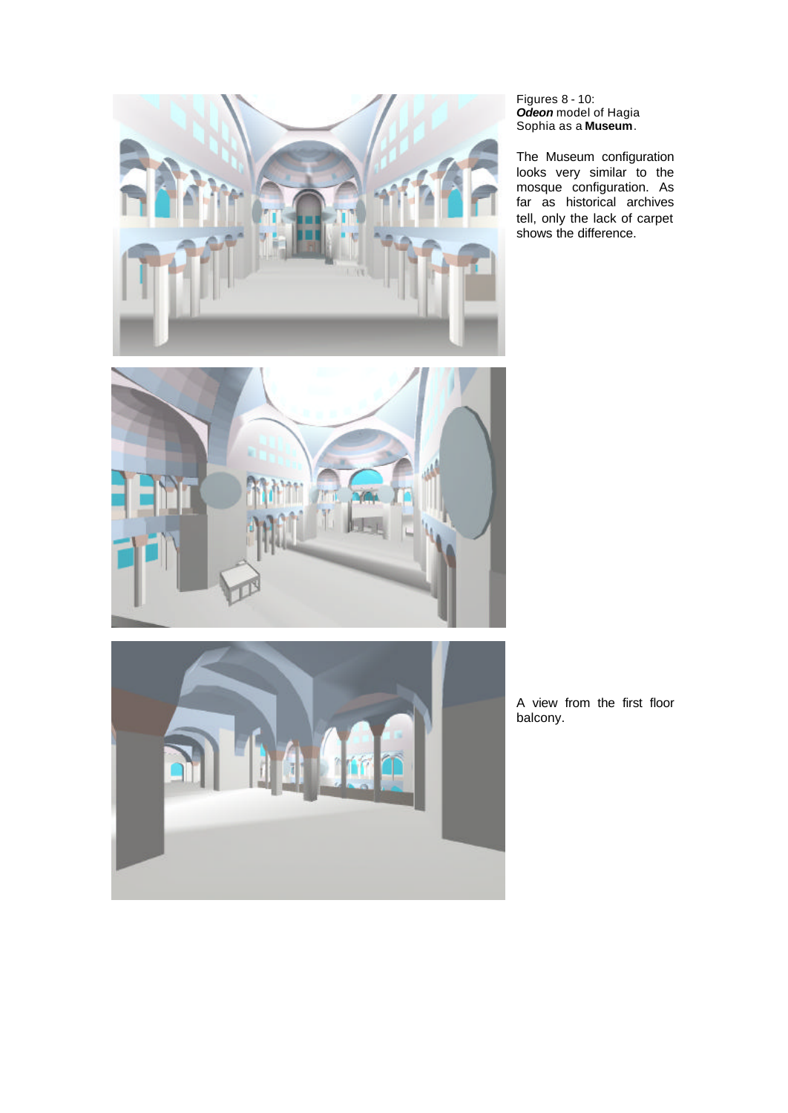

#### Figures 8 - 10: *Odeon* model of Hagia Sophia as a **Museum**.

The Museum configuration looks very similar to the mosque configuration. As far as historical archives tell, only the lack of carpet shows the difference.



A view from the first floor balcony.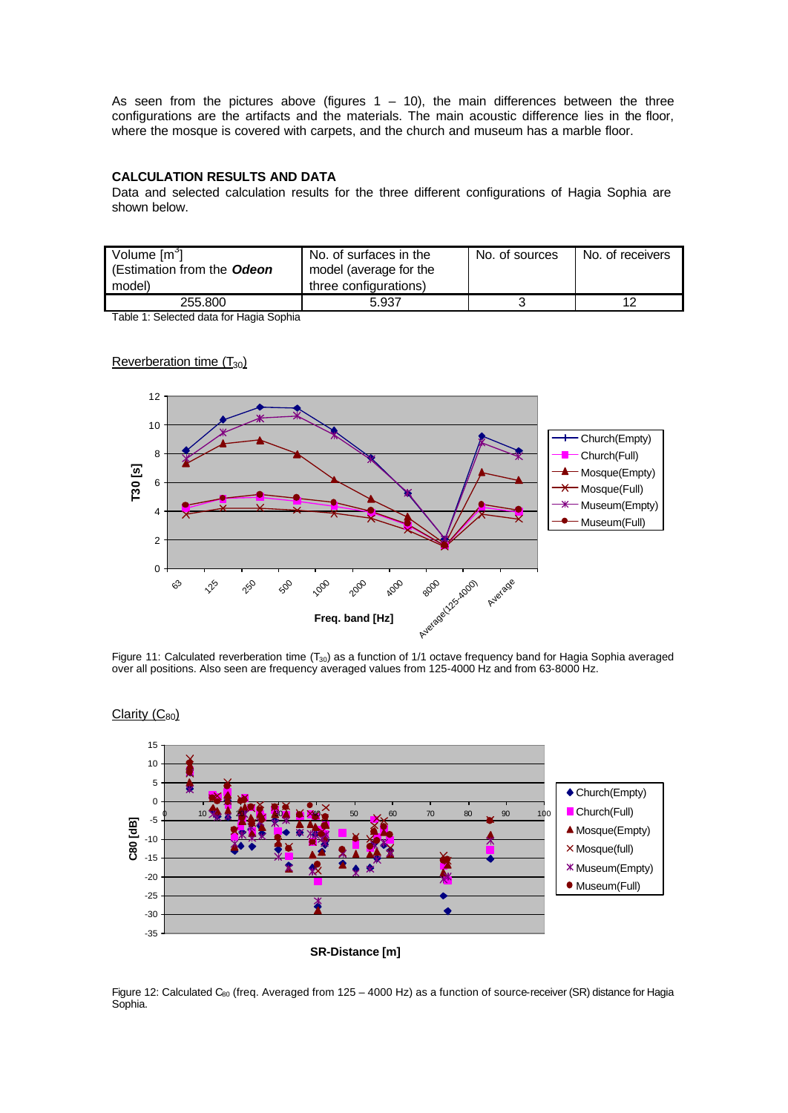As seen from the pictures above (figures  $1 - 10$ ), the main differences between the three configurations are the artifacts and the materials. The main acoustic difference lies in the floor, where the mosque is covered with carpets, and the church and museum has a marble floor.

# **CALCULATION RESULTS AND DATA**

Data and selected calculation results for the three different configurations of Hagia Sophia are shown below.

| Volume [m <sup>o</sup> ]<br>(Estimation from the Odeon<br>model) | No. of surfaces in the<br>model (average for the<br>three configurations) | No. of sources | No. of receivers |
|------------------------------------------------------------------|---------------------------------------------------------------------------|----------------|------------------|
| 255.800                                                          | 5.937                                                                     |                | 12               |

Table 1: Selected data for Hagia Sophia



Figure 11: Calculated reverberation time  $(T_{30})$  as a function of 1/1 octave frequency band for Hagia Sophia averaged over all positions. Also seen are frequency averaged values from 125-4000 Hz and from 63-8000 Hz.



Figure 12: Calculated C<sub>60</sub> (freq. Averaged from 125 – 4000 Hz) as a function of source-receiver (SR) distance for Hagia Sophia.